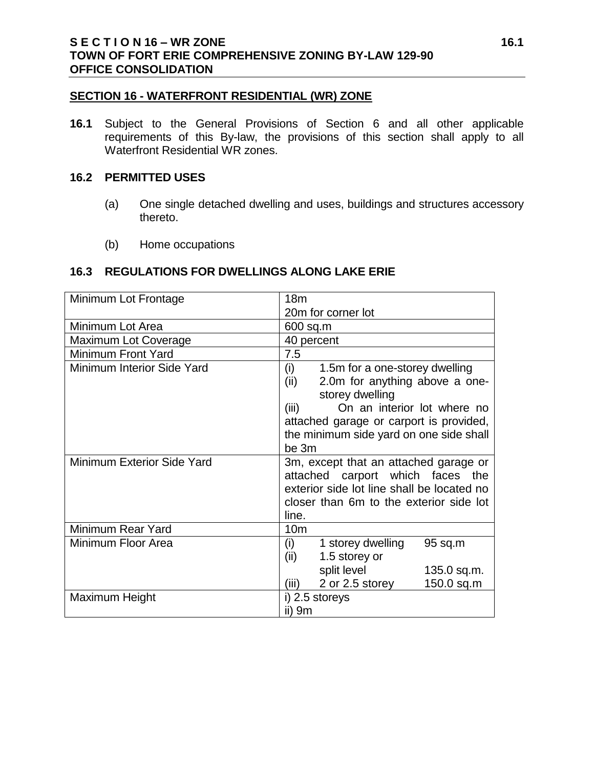#### **SECTION 16 - WATERFRONT RESIDENTIAL (WR) ZONE**

**16.1** Subject to the General Provisions of Section 6 and all other applicable requirements of this By-law, the provisions of this section shall apply to all Waterfront Residential WR zones.

#### **16.2 PERMITTED USES**

- (a) One single detached dwelling and uses, buildings and structures accessory thereto.
- (b) Home occupations

#### **16.3 REGULATIONS FOR DWELLINGS ALONG LAKE ERIE**

| Minimum Lot Frontage       | 18 <sub>m</sub>                                                                                                                                                                                                                           |
|----------------------------|-------------------------------------------------------------------------------------------------------------------------------------------------------------------------------------------------------------------------------------------|
|                            | 20m for corner lot                                                                                                                                                                                                                        |
| Minimum Lot Area           | 600 sq.m                                                                                                                                                                                                                                  |
| Maximum Lot Coverage       | 40 percent                                                                                                                                                                                                                                |
| <b>Minimum Front Yard</b>  | 7.5                                                                                                                                                                                                                                       |
| Minimum Interior Side Yard | (i)<br>1.5m for a one-storey dwelling<br>2.0m for anything above a one-<br>(ii)<br>storey dwelling<br>On an interior lot where no<br>(iii)<br>attached garage or carport is provided,<br>the minimum side yard on one side shall<br>be 3m |
| Minimum Exterior Side Yard | 3m, except that an attached garage or<br>attached carport which faces<br>the<br>exterior side lot line shall be located no<br>closer than 6m to the exterior side lot<br>line.                                                            |
| Minimum Rear Yard          | 10 <sub>m</sub>                                                                                                                                                                                                                           |
| Minimum Floor Area         | (i)<br>1 storey dwelling<br>95 sq.m<br>1.5 storey or<br>(ii)                                                                                                                                                                              |
|                            | split level<br>135.0 sq.m.<br>2 or 2.5 storey<br>150.0 sq.m<br>(iii)                                                                                                                                                                      |
| Maximum Height             | i) 2.5 storeys<br>ii) 9m                                                                                                                                                                                                                  |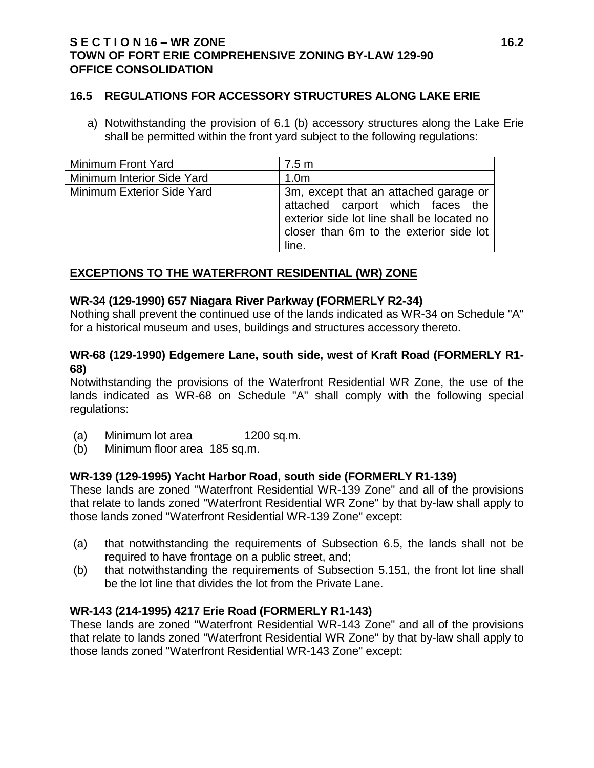#### **16.5 REGULATIONS FOR ACCESSORY STRUCTURES ALONG LAKE ERIE**

a) Notwithstanding the provision of 6.1 (b) accessory structures along the Lake Erie shall be permitted within the front yard subject to the following regulations:

| Minimum Front Yard                | 7.5 m                                                                                                                                                                       |
|-----------------------------------|-----------------------------------------------------------------------------------------------------------------------------------------------------------------------------|
| Minimum Interior Side Yard        | 1.0 <sub>m</sub>                                                                                                                                                            |
| <b>Minimum Exterior Side Yard</b> | 3m, except that an attached garage or<br>attached carport which faces the<br>exterior side lot line shall be located no<br>closer than 6m to the exterior side lot<br>line. |

### **EXCEPTIONS TO THE WATERFRONT RESIDENTIAL (WR) ZONE**

#### **WR-34 (129-1990) 657 Niagara River Parkway (FORMERLY R2-34)**

Nothing shall prevent the continued use of the lands indicated as WR-34 on Schedule "A" for a historical museum and uses, buildings and structures accessory thereto.

#### **WR-68 (129-1990) Edgemere Lane, south side, west of Kraft Road (FORMERLY R1- 68)**

Notwithstanding the provisions of the Waterfront Residential WR Zone, the use of the lands indicated as WR-68 on Schedule "A" shall comply with the following special regulations:

- (a) Minimum lot area 1200 sq.m.
- (b) Minimum floor area 185 sq.m.

### **WR-139 (129-1995) Yacht Harbor Road, south side (FORMERLY R1-139)**

These lands are zoned "Waterfront Residential WR-139 Zone" and all of the provisions that relate to lands zoned "Waterfront Residential WR Zone" by that by-law shall apply to those lands zoned "Waterfront Residential WR-139 Zone" except:

- (a) that notwithstanding the requirements of Subsection 6.5, the lands shall not be required to have frontage on a public street, and;
- (b) that notwithstanding the requirements of Subsection 5.151, the front lot line shall be the lot line that divides the lot from the Private Lane.

### **WR-143 (214-1995) 4217 Erie Road (FORMERLY R1-143)**

These lands are zoned "Waterfront Residential WR-143 Zone" and all of the provisions that relate to lands zoned "Waterfront Residential WR Zone" by that by-law shall apply to those lands zoned "Waterfront Residential WR-143 Zone" except: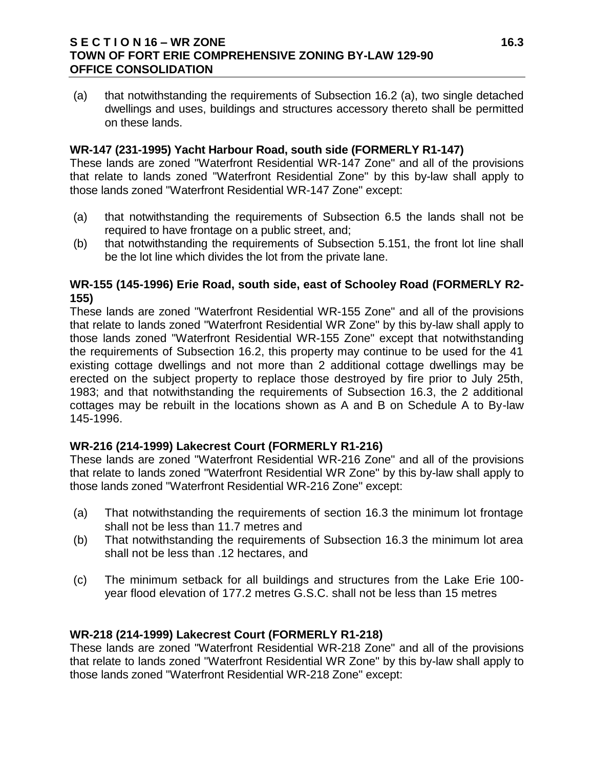### **S E C T I O N 16 – WR ZONE 16.3 TOWN OF FORT ERIE COMPREHENSIVE ZONING BY-LAW 129-90 OFFICE CONSOLIDATION**

(a) that notwithstanding the requirements of Subsection 16.2 (a), two single detached dwellings and uses, buildings and structures accessory thereto shall be permitted on these lands.

## **WR-147 (231-1995) Yacht Harbour Road, south side (FORMERLY R1-147)**

These lands are zoned "Waterfront Residential WR-147 Zone" and all of the provisions that relate to lands zoned "Waterfront Residential Zone" by this by-law shall apply to those lands zoned "Waterfront Residential WR-147 Zone" except:

- (a) that notwithstanding the requirements of Subsection 6.5 the lands shall not be required to have frontage on a public street, and;
- (b) that notwithstanding the requirements of Subsection 5.151, the front lot line shall be the lot line which divides the lot from the private lane.

### **WR-155 (145-1996) Erie Road, south side, east of Schooley Road (FORMERLY R2- 155)**

These lands are zoned "Waterfront Residential WR-155 Zone" and all of the provisions that relate to lands zoned "Waterfront Residential WR Zone" by this by-law shall apply to those lands zoned "Waterfront Residential WR-155 Zone" except that notwithstanding the requirements of Subsection 16.2, this property may continue to be used for the 41 existing cottage dwellings and not more than 2 additional cottage dwellings may be erected on the subject property to replace those destroyed by fire prior to July 25th, 1983; and that notwithstanding the requirements of Subsection 16.3, the 2 additional cottages may be rebuilt in the locations shown as A and B on Schedule A to By-law 145-1996.

### **WR-216 (214-1999) Lakecrest Court (FORMERLY R1-216)**

These lands are zoned "Waterfront Residential WR-216 Zone" and all of the provisions that relate to lands zoned "Waterfront Residential WR Zone" by this by-law shall apply to those lands zoned "Waterfront Residential WR-216 Zone" except:

- (a) That notwithstanding the requirements of section 16.3 the minimum lot frontage shall not be less than 11.7 metres and
- (b) That notwithstanding the requirements of Subsection 16.3 the minimum lot area shall not be less than .12 hectares, and
- (c) The minimum setback for all buildings and structures from the Lake Erie 100 year flood elevation of 177.2 metres G.S.C. shall not be less than 15 metres

# **WR-218 (214-1999) Lakecrest Court (FORMERLY R1-218)**

These lands are zoned "Waterfront Residential WR-218 Zone" and all of the provisions that relate to lands zoned "Waterfront Residential WR Zone" by this by-law shall apply to those lands zoned "Waterfront Residential WR-218 Zone" except: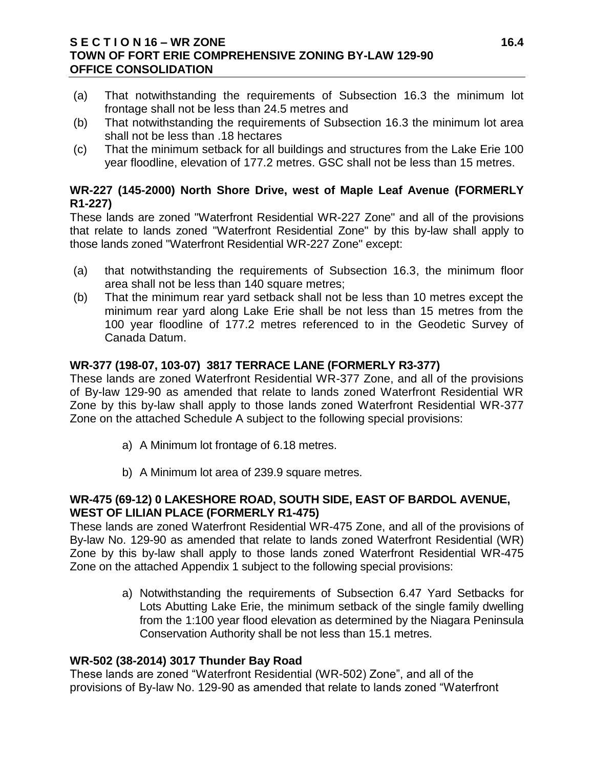## **S E C T I O N 16 – WR ZONE 16.4 TOWN OF FORT ERIE COMPREHENSIVE ZONING BY-LAW 129-90 OFFICE CONSOLIDATION**

- (a) That notwithstanding the requirements of Subsection 16.3 the minimum lot frontage shall not be less than 24.5 metres and
- (b) That notwithstanding the requirements of Subsection 16.3 the minimum lot area shall not be less than .18 hectares
- (c) That the minimum setback for all buildings and structures from the Lake Erie 100 year floodline, elevation of 177.2 metres. GSC shall not be less than 15 metres.

# **WR-227 (145-2000) North Shore Drive, west of Maple Leaf Avenue (FORMERLY R1-227)**

These lands are zoned "Waterfront Residential WR-227 Zone" and all of the provisions that relate to lands zoned "Waterfront Residential Zone" by this by-law shall apply to those lands zoned "Waterfront Residential WR-227 Zone" except:

- (a) that notwithstanding the requirements of Subsection 16.3, the minimum floor area shall not be less than 140 square metres;
- (b) That the minimum rear yard setback shall not be less than 10 metres except the minimum rear yard along Lake Erie shall be not less than 15 metres from the 100 year floodline of 177.2 metres referenced to in the Geodetic Survey of Canada Datum.

# **WR-377 (198-07, 103-07) 3817 TERRACE LANE (FORMERLY R3-377)**

These lands are zoned Waterfront Residential WR-377 Zone, and all of the provisions of By-law 129-90 as amended that relate to lands zoned Waterfront Residential WR Zone by this by-law shall apply to those lands zoned Waterfront Residential WR-377 Zone on the attached Schedule A subject to the following special provisions:

- a) A Minimum lot frontage of 6.18 metres.
- b) A Minimum lot area of 239.9 square metres.

# **WR-475 (69-12) 0 LAKESHORE ROAD, SOUTH SIDE, EAST OF BARDOL AVENUE, WEST OF LILIAN PLACE (FORMERLY R1-475)**

These lands are zoned Waterfront Residential WR-475 Zone, and all of the provisions of By-law No. 129-90 as amended that relate to lands zoned Waterfront Residential (WR) Zone by this by-law shall apply to those lands zoned Waterfront Residential WR-475 Zone on the attached Appendix 1 subject to the following special provisions:

> a) Notwithstanding the requirements of Subsection 6.47 Yard Setbacks for Lots Abutting Lake Erie, the minimum setback of the single family dwelling from the 1:100 year flood elevation as determined by the Niagara Peninsula Conservation Authority shall be not less than 15.1 metres.

### **WR-502 (38-2014) 3017 Thunder Bay Road**

These lands are zoned "Waterfront Residential (WR-502) Zone", and all of the provisions of By-law No. 129-90 as amended that relate to lands zoned "Waterfront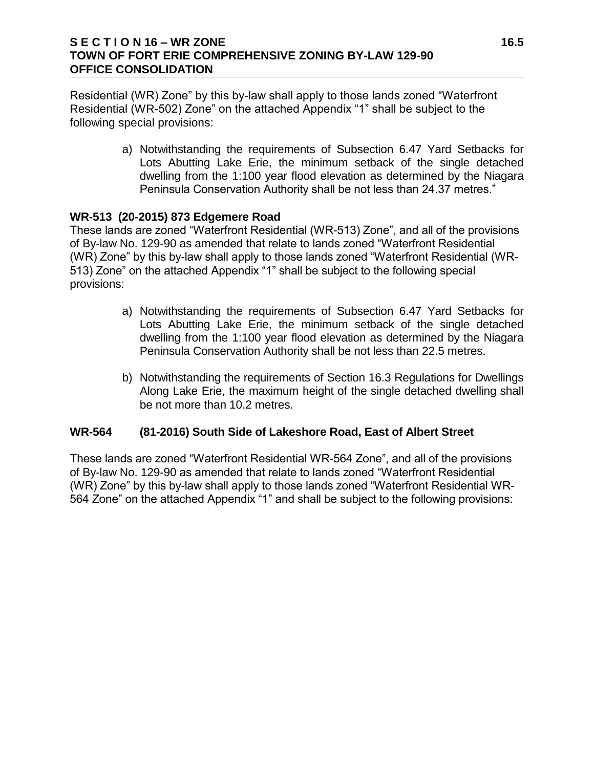#### **S E C T I O N 16 – WR ZONE 16.5 TOWN OF FORT ERIE COMPREHENSIVE ZONING BY-LAW 129-90 OFFICE CONSOLIDATION**

Residential (WR) Zone" by this by-law shall apply to those lands zoned "Waterfront Residential (WR-502) Zone" on the attached Appendix "1" shall be subject to the following special provisions:

> a) Notwithstanding the requirements of Subsection 6.47 Yard Setbacks for Lots Abutting Lake Erie, the minimum setback of the single detached dwelling from the 1:100 year flood elevation as determined by the Niagara Peninsula Conservation Authority shall be not less than 24.37 metres."

#### **WR-513 (20-2015) 873 Edgemere Road**

These lands are zoned "Waterfront Residential (WR-513) Zone", and all of the provisions of By-law No. 129-90 as amended that relate to lands zoned "Waterfront Residential (WR) Zone" by this by-law shall apply to those lands zoned "Waterfront Residential (WR-513) Zone" on the attached Appendix "1" shall be subject to the following special provisions:

- a) Notwithstanding the requirements of Subsection 6.47 Yard Setbacks for Lots Abutting Lake Erie, the minimum setback of the single detached dwelling from the 1:100 year flood elevation as determined by the Niagara Peninsula Conservation Authority shall be not less than 22.5 metres.
- b) Notwithstanding the requirements of Section 16.3 Regulations for Dwellings Along Lake Erie, the maximum height of the single detached dwelling shall be not more than 10.2 metres.

### **WR-564 (81-2016) South Side of Lakeshore Road, East of Albert Street**

These lands are zoned "Waterfront Residential WR-564 Zone", and all of the provisions of By-law No. 129-90 as amended that relate to lands zoned "Waterfront Residential (WR) Zone" by this by-law shall apply to those lands zoned "Waterfront Residential WR-564 Zone" on the attached Appendix "1" and shall be subject to the following provisions: